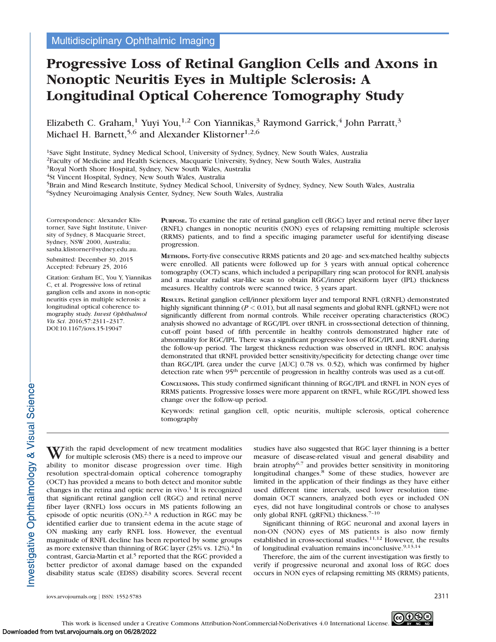# Progressive Loss of Retinal Ganglion Cells and Axons in Nonoptic Neuritis Eyes in Multiple Sclerosis: A Longitudinal Optical Coherence Tomography Study

Elizabeth C. Graham,<sup>1</sup> Yuyi You,<sup>1,2</sup> Con Yiannikas,<sup>3</sup> Raymond Garrick,<sup>4</sup> John Parratt,<sup>3</sup> Michael H. Barnett,  $5.6$  and Alexander Klistorner<sup>1,2,6</sup>

1Save Sight Institute, Sydney Medical School, University of Sydney, Sydney, New South Wales, Australia

2Faculty of Medicine and Health Sciences, Macquarie University, Sydney, New South Wales, Australia

3Royal North Shore Hospital, Sydney, New South Wales, Australia

4St Vincent Hospital, Sydney, New South Wales, Australia

5Brain and Mind Research Institute, Sydney Medical School, University of Sydney, Sydney, New South Wales, Australia 6Sydney Neuroimaging Analysis Center, Sydney, New South Wales, Australia

Correspondence: Alexander Klistorner, Save Sight Institute, University of Sydney, 8 Macquarie Street, Sydney, NSW 2000, Australia; sasha.klistorner@sydney.edu.au.

Submitted: December 30, 2015 Accepted: February 25, 2016

Citation: Graham EC, You Y, Yiannikas C, et al. Progressive loss of retinal ganglion cells and axons in non-optic neuritis eyes in multiple sclerosis: a longitudinal optical coherence tomography study. Invest Ophthalmol Vis Sci. 2016;57:2311–2317. DOI:10.1167/iovs.15-19047

PURPOSE. To examine the rate of retinal ganglion cell (RGC) layer and retinal nerve fiber layer (RNFL) changes in nonoptic neuritis (NON) eyes of relapsing remitting multiple sclerosis (RRMS) patients, and to find a specific imaging parameter useful for identifying disease progression.

METHODS. Forty-five consecutive RRMS patients and 20 age- and sex-matched healthy subjects were enrolled. All patients were followed up for 3 years with annual optical coherence tomography (OCT) scans, which included a peripapillary ring scan protocol for RNFL analysis and a macular radial star-like scan to obtain RGC/inner plexiform layer (IPL) thickness measures. Healthy controls were scanned twice, 3 years apart.

RESULTS. Retinal ganglion cell/inner plexiform layer and temporal RNFL (tRNFL) demonstrated highly significant thinning (P < 0.01), but all nasal segments and global RNFL (gRNFL) were not significantly different from normal controls. While receiver operating characteristics (ROC) analysis showed no advantage of RGC/IPL over tRNFL in cross-sectional detection of thinning, cut-off point based of fifth percentile in healthy controls demonstrated higher rate of abnormality for RGC/IPL. There was a significant progressive loss of RGC/IPL and tRNFL during the follow-up period. The largest thickness reduction was observed in tRNFL. ROC analysis demonstrated that tRNFL provided better sensitivity/specificity for detecting change over time than RGC/IPL (area under the curve [AUC] 0.78 vs. 0.52), which was confirmed by higher detection rate when 95th percentile of progression in healthy controls was used as a cut-off.

CONCLUSIONS. This study confirmed significant thinning of RGC/IPL and tRNFL in NON eyes of RRMS patients. Progressive losses were more apparent on tRNFL, while RGC/IPL showed less change over the follow-up period.

Keywords: retinal ganglion cell, optic neuritis, multiple sclerosis, optical coherence tomography

With the rapid development of new treatment modalities for multiple sclerosis (MS) there is a need to improve our ability to monitor disease progression over time. High resolution spectral-domain optical coherence tomography (OCT) has provided a means to both detect and monitor subtle changes in the retina and optic nerve in vivo. $<sup>1</sup>$  It is recognized</sup> that significant retinal ganglion cell (RGC) and retinal nerve fiber layer (RNFL) loss occurs in MS patients following an episode of optic neuritis (ON).<sup>2,3</sup> A reduction in RGC may be identified earlier due to transient edema in the acute stage of ON masking any early RNFL loss. However, the eventual magnitude of RNFL decline has been reported by some groups as more extensive than thinning of RGC layer  $(25\% \text{ vs. } 12\%).$ <sup>4</sup> In contrast, Garcia-Martin et al.<sup>5</sup> reported that the RGC provided a better predictor of axonal damage based on the expanded disability status scale (EDSS) disability scores. Several recent

studies have also suggested that RGC layer thinning is a better measure of disease-related visual and general disability and brain atrophy<sup>6,7</sup> and provides better sensitivity in monitoring longitudinal changes.<sup>8</sup> Some of these studies, however are limited in the application of their findings as they have either used different time intervals, used lower resolution timedomain OCT scanners, analyzed both eyes or included ON eyes, did not have longitudinal controls or chose to analyses only global RNFL (gRFNL) thickness.<sup>7-10</sup>

Significant thinning of RGC neuronal and axonal layers in non-ON (NON) eyes of MS patients is also now firmly established in cross-sectional studies.11,12 However, the results of longitudinal evaluation remains inconclusive.<sup>9,13,14</sup>

Therefore, the aim of the current investigation was firstly to verify if progressive neuronal and axonal loss of RGC does occurs in NON eyes of relapsing remitting MS (RRMS) patients,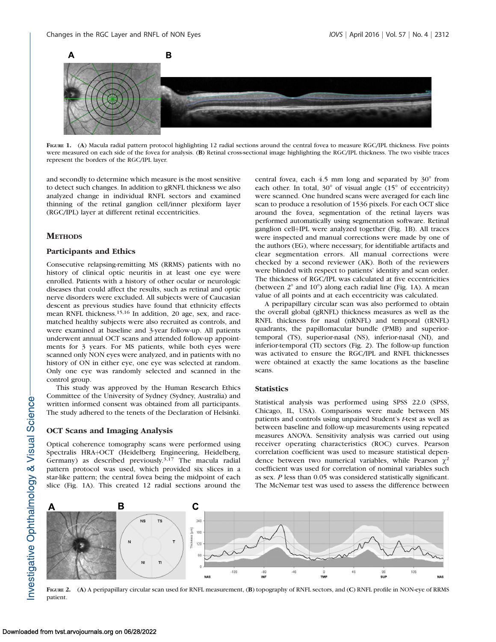

FIGURE 1. (A) Macula radial pattern protocol highlighting 12 radial sections around the central fovea to measure RGC/IPL thickness. Five points were measured on each side of the fovea for analysis. (B) Retinal cross-sectional image highlighting the RGC/IPL thickness. The two visible traces represent the borders of the RGC/IPL layer.

and secondly to determine which measure is the most sensitive to detect such changes. In addition to gRNFL thickness we also analyzed change in individual RNFL sectors and examined thinning of the retinal ganglion cell/inner plexiform layer (RGC/IPL) layer at different retinal eccentricities.

## **METHODS**

## Participants and Ethics

Consecutive relapsing-remitting MS (RRMS) patients with no history of clinical optic neuritis in at least one eye were enrolled. Patients with a history of other ocular or neurologic diseases that could affect the results, such as retinal and optic nerve disorders were excluded. All subjects were of Caucasian descent as previous studies have found that ethnicity effects mean RNFL thickness.15,16 In addition, 20 age, sex, and racematched healthy subjects were also recruited as controls, and were examined at baseline and 3-year follow-up. All patients underwent annual OCT scans and attended follow-up appointments for 3 years. For MS patients, while both eyes were scanned only NON eyes were analyzed, and in patients with no history of ON in either eye, one eye was selected at random. Only one eye was randomly selected and scanned in the control group.

This study was approved by the Human Research Ethics Committee of the University of Sydney (Sydney, Australia) and written informed consent was obtained from all participants. The study adhered to the tenets of the Declaration of Helsinki.

## OCT Scans and Imaging Analysis

Optical coherence tomography scans were performed using Spectralis HRA+OCT (Heidelberg Engineering, Heidelberg, Germany) as described previously.<sup>3,17</sup> The macula radial pattern protocol was used, which provided six slices in a star-like pattern; the central fovea being the midpoint of each slice (Fig. 1A). This created 12 radial sections around the

central fovea, each  $4.5$  mm long and separated by  $30^{\circ}$  from each other. In total,  $30^{\circ}$  of visual angle (15 $^{\circ}$  of eccentricity) were scanned. One hundred scans were averaged for each line scan to produce a resolution of 1536 pixels. For each OCT slice around the fovea, segmentation of the retinal layers was performed automatically using segmentation software. Retinal ganglion cell+IPL were analyzed together (Fig. 1B). All traces were inspected and manual corrections were made by one of the authors (EG), where necessary, for identifiable artifacts and clear segmentation errors. All manual corrections were checked by a second reviewer (AK). Both of the reviewers were blinded with respect to patients' identity and scan order. The thickness of RGC/IPL was calculated at five eccentricities (between  $2^{\circ}$  and  $10^{\circ}$ ) along each radial line (Fig. 1A). A mean value of all points and at each eccentricity was calculated.

A peripapillary circular scan was also performed to obtain the overall global (gRNFL) thickness measures as well as the RNFL thickness for nasal (nRNFL) and temporal (tRNFL) quadrants, the papillomacular bundle (PMB) and superiortemporal (TS), superior-nasal (NS), inferior-nasal (NI), and inferior-temporal (TI) sectors (Fig. 2). The follow-up function was activated to ensure the RGC/IPL and RNFL thicknesses were obtained at exactly the same locations as the baseline scans.

#### **Statistics**

Statistical analysis was performed using SPSS 22.0 (SPSS, Chicago, IL, USA). Comparisons were made between MS patients and controls using unpaired Student's t-test as well as between baseline and follow-up measurements using repeated measures ANOVA. Sensitivity analysis was carried out using receiver operating characteristics (ROC) curves. Pearson correlation coefficient was used to measure statistical dependence between two numerical variables, while Pearson  $\gamma^2$ coefficient was used for correlation of nominal variables such as sex. P less than 0.05 was considered statistically significant. The McNemar test was used to assess the difference between



FIGURE 2. (A) A peripapillary circular scan used for RNFL measurement, (B) topography of RNFL sectors, and (C) RNFL profile in NON-eye of RRMS patient.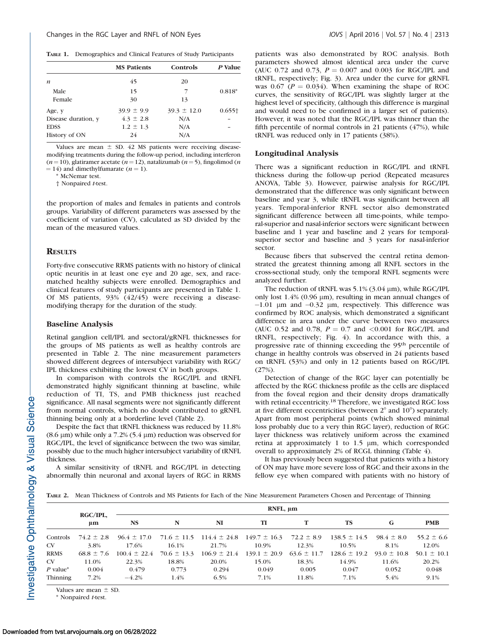TABLE 1. Demographics and Clinical Features of Study Participants

|                     | <b>MS Patients</b> | Controls        | P Value        |
|---------------------|--------------------|-----------------|----------------|
| n                   | 45                 | 20              |                |
| Male                | 15                 | 7               | $0.818*$       |
| Female              | 30                 | 13              |                |
| Age, y              | $39.9 \pm 9.9$     | $39.3 \pm 12.0$ | $0.655\dagger$ |
| Disease duration, y | $4.3 \pm 2.8$      | N/A             |                |
| <b>EDSS</b>         | $1.2 \pm 1.3$      | N/A             |                |
| History of ON       | 24                 | N/A             |                |

Values are mean  $\pm$  SD. 42 MS patients were receiving diseasemodifying treatments during the follow-up period, including interferon  $(n=10)$ , glatiramer acetate  $(n=12)$ , natalizumab  $(n=5)$ , fingolimod  $(n=5)$  $= 14$ ) and dimethylfumarate ( $n = 1$ ).

\* McNemar test.

† Nonpaired t-test.

the proportion of males and females in patients and controls groups. Variability of different parameters was assessed by the coefficient of variation (CV), calculated as SD divided by the mean of the measured values.

#### **RESULTS**

Forty-five consecutive RRMS patients with no history of clinical optic neuritis in at least one eye and 20 age, sex, and racematched healthy subjects were enrolled. Demographics and clinical features of study participants are presented in Table 1. Of MS patients, 93% (42/45) were receiving a diseasemodifying therapy for the duration of the study.

#### Baseline Analysis

Retinal ganglion cell/IPL and sectoral/gRNFL thicknesses for the groups of MS patients as well as healthy controls are presented in Table 2. The nine measurement parameters showed different degrees of intersubject variability with RGC/ IPL thickness exhibiting the lowest CV in both groups.

In comparison with controls the RGC/IPL and tRNFL demonstrated highly significant thinning at baseline, while reduction of TI, TS, and PMB thickness just reached significance. All nasal segments were not significantly different from normal controls, which no doubt contributed to gRNFL thinning being only at a borderline level (Table 2).

Despite the fact that tRNFL thickness was reduced by 11.8% (8.6  $\mu$ m) while only a 7.2% (5.4  $\mu$ m) reduction was observed for RGC/IPL, the level of significance between the two was similar, possibly due to the much higher intersubject variability of tRNFL thickness.

A similar sensitivity of tRNFL and RGC/IPL in detecting abnormally thin neuronal and axonal layers of RGC in RRMS

patients was also demonstrated by ROC analysis. Both parameters showed almost identical area under the curve (AUC 0.72 and 0.73,  $P = 0.007$  and 0.003 for RGC/IPL and tRNFL, respectively; Fig. 3). Area under the curve for gRNFL was 0.67 ( $P = 0.034$ ). When examining the shape of ROC curves, the sensitivity of RGC/IPL was slightly larger at the highest level of specificity, (although this difference is marginal and would need to be confirmed in a larger set of patients). However, it was noted that the RGC/IPL was thinner than the fifth percentile of normal controls in 21 patients (47%), while tRNFL was reduced only in 17 patients (38%).

#### Longitudinal Analysis

There was a significant reduction in RGC/IPL and tRNFL thickness during the follow-up period (Repeated measures ANOVA, Table 3). However, pairwise analysis for RGC/IPL demonstrated that the difference was only significant between baseline and year 3, while tRNFL was significant between all years. Temporal-inferior RNFL sector also demonstrated significant difference between all time-points, while temporal-superior and nasal-inferior sectors were significant between baseline and 1 year and baseline and 2 years for temporalsuperior sector and baseline and 3 years for nasal-inferior sector.

Because fibers that subserved the central retina demonstrated the greatest thinning among all RNFL sectors in the cross-sectional study, only the temporal RNFL segments were analyzed further.

The reduction of tRNFL was  $5.1\%$  (3.04  $\mu$ m), while RGC/IPL only lost  $1.4\%$  (0.96  $\mu$ m), resulting in mean annual changes of  $-1.01$  µm and  $-0.32$  µm, respectively. This difference was confirmed by ROC analysis, which demonstrated a significant difference in area under the curve between two measures (AUC 0.52 and 0.78,  $P = 0.7$  and <0.001 for RGC/IPL and tRNFL, respectively; Fig. 4). In accordance with this, a progressive rate of thinning exceeding the 95th percentile of change in healthy controls was observed in 24 patients based on tRNFL (53%) and only in 12 patients based on RGC/IPL  $(27%)$ .

Detection of change of the RGC layer can potentially be affected by the RGC thickness profile as the cells are displaced from the foveal region and their density drops dramatically with retinal eccentricity.<sup>18</sup> Therefore, we investigated RGC loss at five different eccentricities (between  $2^{\circ}$  and  $10^{\circ}$ ) separately. Apart from most peripheral points (which showed minimal loss probably due to a very thin RGC layer), reduction of RGC layer thickness was relatively uniform across the examined retina at approximately 1 to 1.5  $\mu$ m, which corresponded overall to approximately 2% of RCGL thinning (Table 4).

It has previously been suggested that patients with a history of ON may have more severe loss of RGC and their axons in the fellow eye when compared with patients with no history of

TABLE 2. Mean Thickness of Controls and MS Patients for Each of the Nine Measurement Parameters Chosen and Percentage of Thinning

|             | RGC/IPL,       | RNFL, um         |                 |                                                                                  |                                   |                 |                  |                 |                 |
|-------------|----------------|------------------|-----------------|----------------------------------------------------------------------------------|-----------------------------------|-----------------|------------------|-----------------|-----------------|
|             | $\mu$ m        | <b>NS</b>        | N               | NI                                                                               | TI                                |                 | <b>TS</b>        | G               | <b>PMB</b>      |
| Controls    | $74.2 \pm 2.8$ |                  |                 | $96.4 \pm 17.0$ $71.6 \pm 11.5$ $114.4 \pm 24.8$ $149.7 \pm 16.3$ $72.2 \pm 8.9$ |                                   |                 | $138.5 \pm 14.5$ | $98.4 \pm 8.0$  | $55.2 \pm 6.6$  |
| CV          | 3.8%           | 17.6%            | 16.1%           | 21.7%                                                                            | 10.9%                             | 12.3%           | 10.5%            | 8.1%            | 12.0%           |
| <b>RRMS</b> | $68.8 \pm 7.6$ | $100.4 \pm 22.4$ | $70.6 \pm 13.3$ |                                                                                  | $106.9 \pm 21.4$ $139.1 \pm 20.9$ | $63.6 \pm 11.7$ | $128.6 \pm 19.2$ | $93.0 \pm 10.8$ | $50.1 \pm 10.1$ |
| CV.         | 11.0%          | 22.3%            | 18.8%           | 20.0%                                                                            | 15.0%                             | 18.3%           | 14.9%            | 11.6%           | 20.2%           |
| P value*    | 0.004          | 0.479            | 0.773           | 0.294                                                                            | 0.049                             | 0.005           | 0.047            | 0.052           | 0.048           |
| Thinning    | 7.2%           | $-4.2%$          | 1.4%            | 6.5%                                                                             | 7.1%                              | 11.8%           | 7.1%             | 5.4%            | 9.1%            |

Values are mean  $\pm$  SD.

\* Nonpaired t-test.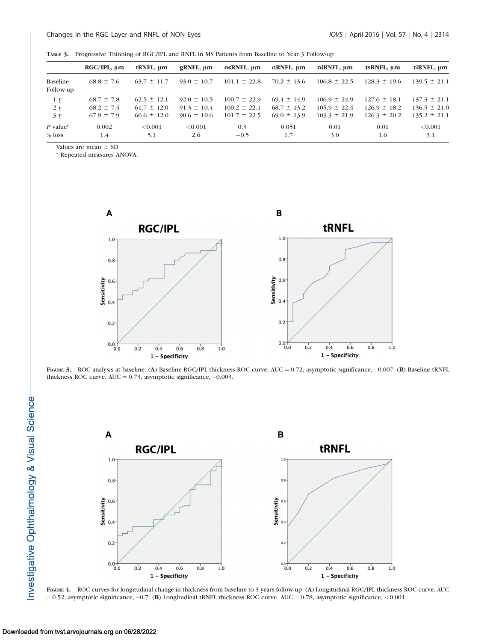TABLE 3. Progressive Thinning of RGC/IPL and RNFL in MS Patients from Baseline to Year 3 Follow-up

|                        | $RGC/IPL, \mu m$ | tRNFL, um       | gRNFL, μm       | nsRNFL, µm       | nRNFL, µm       | niRNFL, um       | tsRNFL, um       | tiRNFL, μm       |
|------------------------|------------------|-----------------|-----------------|------------------|-----------------|------------------|------------------|------------------|
| Baseline<br>Follow-up  | $68.8 \pm 7.6$   | $63.7 \pm 11.7$ | $93.0 \pm 10.7$ | $101.1 \pm 22.8$ | $70.2 \pm 13.6$ | $106.8 \pm 22.5$ | $128.3 \pm 19.6$ | $139.5 \pm 21.1$ |
| 1 <sub>y</sub>         | $68.7 \pm 7.8$   | $62.5 \pm 12.1$ | $92.0 \pm 10.5$ | $100.7 \pm 22.9$ | $69.4 \pm 14.9$ | $106.9 \pm 24.9$ | $127.6 \pm 18.1$ | $137.3 \pm 21.1$ |
| 2 y                    | $68.2 \pm 7.4$   | $61.7 \pm 12.0$ | $91.3 \pm 10.4$ | $100.2 \pm 22.1$ | $68.7 \pm 13.2$ | $105.9 \pm 22.4$ | $126.9 \pm 18.2$ | $136.5 \pm 21.0$ |
| 3y                     | $67.9 \pm 7.9$   | $60.6 \pm 12.0$ | $90.6 \pm 10.6$ | $101.7 \pm 22.5$ | $69.0 \pm 13.9$ | $103.3 \pm 21.9$ | $126.3 \pm 20.2$ | $135.2 \pm 21.1$ |
| $P$ value*<br>$%$ loss | 0.002<br>1.4     | < 0.001<br>5.1  | < 0.001<br>2.6  | 0.3<br>$-0.5$    | 0.051<br>1.7    | 0.01<br>3.0      | 0.01<br>1.6      | < 0.001<br>3.1   |

Values are mean  $\pm$  SD.

\* Repeated measures ANOVA.



FIGURE 3. ROC analysis at baseline. (A) Baseline RGC/IPL thickness ROC curve. AUC = 0.72, asymptotic significance, -0.007. (B) Baseline tRNFL thickness ROC curve.  $AUC = 0.73$ , asymptotic significance,  $-0.003$ .



FIGURE 4. ROC curves for longitudinal change in thickness from baseline to 3 years follow-up. (A) Longitudinal RGC/IPL thickness ROC curve. AUC  $= 0.52$ , asymptotic significance,  $-0.7$ . (B) Longitudinal tRNFL thickness ROC curve. AUC  $= 0.78$ , asymptotic significance,  $< 0.001$ .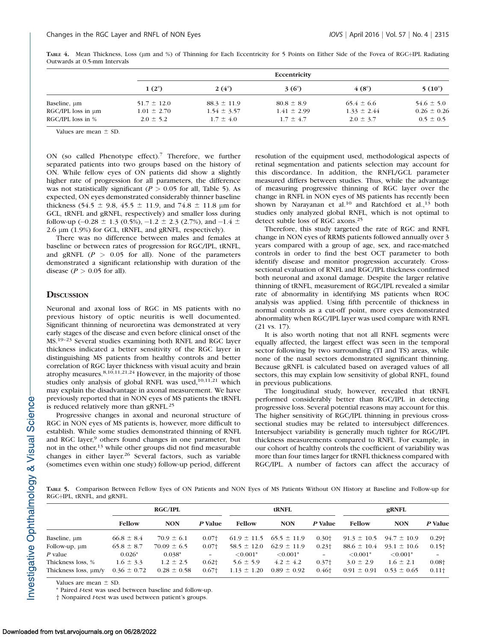|                           |                 | Eccentricity    |                 |                 |                  |  |  |  |  |
|---------------------------|-----------------|-----------------|-----------------|-----------------|------------------|--|--|--|--|
|                           | $1(2^{\circ})$  | $2(4^{\circ})$  | $3(6^{\circ})$  | $4(8^{\circ})$  | 5 $(10^{\circ})$ |  |  |  |  |
| Baseline, µm              | $51.7 \pm 12.0$ | $88.3 \pm 11.9$ | $80.8 \pm 8.9$  | $65.4 \pm 6.6$  | $54.6 \pm 5.0$   |  |  |  |  |
| $RGC/IPL$ loss in $\mu$ m | $1.01 \pm 2.70$ | $1.54 \pm 3.57$ | $1.41 \pm 2.99$ | $1.33 \pm 2.44$ | $0.26 \pm 0.26$  |  |  |  |  |
| RGC/IPL loss in %         | $2.0 \pm 5.2$   | $1.7 \pm 4.0$   | $1.7 \pm 4.7$   | $2.0 \pm 3.7$   | $0.5 \pm 0.5$    |  |  |  |  |

TABLE 4. Mean Thickness, Loss (µm and %) of Thinning for Each Eccentricity for 5 Points on Either Side of the Fovea of RGC+IPL Radiating Outwards at 0.5-mm Intervals

Values are mean  $\pm$  SD.

ON (so called Phenotype effect).<sup>7</sup> Therefore, we further separated patients into two groups based on the history of ON. While fellow eyes of ON patients did show a slightly higher rate of progression for all parameters, the difference was not statistically significant ( $P > 0.05$  for all, Table 5). As expected, ON eyes demonstrated considerably thinner baseline thickness (54.5  $\pm$  9.8, 45.5  $\pm$  11.9, and 74.8  $\pm$  11.8 µm for GCL, tRNFL and gRNFL, respectively) and smaller loss during follow-up (-0.28  $\pm$  1.3 (0.5%), -1.2  $\pm$  2.3 (2.7%), and -1.4  $\pm$ 2.6 lm (1.9%) for GCL, tRNFL, and gRNFL, respectively).

There was no difference between males and females at baseline or between rates of progression for RGC/IPL, tRNFL, and gRNFL  $(P > 0.05$  for all). None of the parameters demonstrated a significant relationship with duration of the disease ( $P > 0.05$  for all).

#### **DISCUSSION**

Neuronal and axonal loss of RGC in MS patients with no previous history of optic neuritis is well documented. Significant thinning of neuroretina was demonstrated at very early stages of the disease and even before clinical onset of the MS.19–23 Several studies examining both RNFL and RGC layer thickness indicated a better sensitivity of the RGC layer in distinguishing MS patients from healthy controls and better correlation of RGC layer thickness with visual acuity and brain atrophy measures.8,10,11,21,24 However, in the majority of those studies only analysis of global RNFL was used,<sup>10,11,21</sup> which may explain the disadvantage in axonal measurement. We have previously reported that in NON eyes of MS patients the tRNFL is reduced relatively more than gRNFL.<sup>25</sup>

Progressive changes in axonal and neuronal structure of RGC in NON eyes of MS patients is, however, more difficult to establish. While some studies demonstrated thinning of RNFL and RGC layer,<sup>9</sup> others found changes in one parameter, but not in the other,13 while other groups did not find measurable changes in either layer.<sup>26</sup> Several factors, such as variable (sometimes even within one study) follow-up period, different

resolution of the equipment used, methodological aspects of retinal segmentation and patients selection may account for this discordance. In addition, the RNFL/GCL parameter measured differs between studies. Thus, while the advantage of measuring progressive thinning of RGC layer over the change in RNFL in NON eyes of MS patients has recently been shown by Narayanan et al.<sup>10</sup> and Ratchford et al.,<sup>13</sup> both studies only analyzed global RNFL, which is not optimal to detect subtle loss of RGC axons.<sup>25</sup>

Therefore, this study targeted the rate of RGC and RNFL change in NON eyes of RRMS patients followed annually over 3 years compared with a group of age, sex, and race-matched controls in order to find the best OCT parameter to both identify disease and monitor progression accurately. Crosssectional evaluation of RNFL and RGC/IPL thickness confirmed both neuronal and axonal damage. Despite the larger relative thinning of tRNFL, measurement of RGC/IPL revealed a similar rate of abnormality in identifying MS patients when ROC analysis was applied. Using fifth percentile of thickness in normal controls as a cut-off point, more eyes demonstrated abnormality when RGC/IPL layer was used compare with RNFL (21 vs. 17).

It is also worth noting that not all RNFL segments were equally affected, the largest effect was seen in the temporal sector following by two surrounding (TI and TS) areas, while none of the nasal sectors demonstrated significant thinning. Because gRNFL is calculated based on averaged values of all sectors, this may explain low sensitivity of global RNFL, found in previous publications.

The longitudinal study, however, revealed that tRNFL performed considerably better than RGC/IPL in detecting progressive loss. Several potential reasons may account for this. The higher sensitivity of RGC/IPL thinning in previous crosssectional studies may be related to intersubject differences. Intersubject variability is generally much tighter for RGC/IPL thickness measurements compared to RNFL. For example, in our cohort of healthy controls the coefficient of variability was more than four times larger for tRNFL thickness compared with RGC/IPL. A number of factors can affect the accuracy of

TABLE 5. Comparison Between Fellow Eyes of ON Patients and NON Eyes of MS Patients Without ON History at Baseline and Follow-up for RGC+IPL, tRNFL, and gRNFL.

|                           | RGC/IPL         |                 |                          | tRNFL           |                                 |                          | gRNFL                           |                 |                          |
|---------------------------|-----------------|-----------------|--------------------------|-----------------|---------------------------------|--------------------------|---------------------------------|-----------------|--------------------------|
|                           | Fellow          | <b>NON</b>      | P Value                  | <b>Fellow</b>   | <b>NON</b>                      | P Value                  | Fellow                          | <b>NON</b>      | P Value                  |
| Baseline, um              | $66.8 \pm 8.4$  | $70.9 \pm 6.1$  | $0.07+$                  |                 | $61.9 \pm 11.5$ $65.5 \pm 11.9$ | 0.30 <sub>1</sub>        | $91.3 \pm 10.5$ $94.7 \pm 10.9$ |                 | $0.29+$                  |
| Follow-up, um             | $65.8 \pm 8.7$  | $70.09 \pm 6.5$ | $0.07+$                  | $58.5 \pm 12.0$ | $62.9 \pm 11.9$                 | $0.23\dagger$            | $88.6 \pm 10.4$                 | $93.1 \pm 10.6$ | $0.15+$                  |
| P value                   | $0.026*$        | $0.038*$        | $\overline{\phantom{a}}$ | $\leq 0.001*$   | $< 0.001*$                      | $\overline{\phantom{0}}$ | $\leq 0.001*$                   | $< 0.001*$      | $\overline{\phantom{0}}$ |
| Thickness loss, %         | $1.6 \pm 3.3$   | $1.2 \pm 2.5$   | $0.62+$                  | $5.6 \pm 5.9$   | $4.2 \pm 4.2$                   | $0.37+$                  | $3.0 \pm 2.9$                   | $1.6 \pm 2.1$   | $0.08+$                  |
| Thickness loss, $\mu$ m/y | $0.36 \pm 0.72$ | $0.28 \pm 0.58$ | $0.67+$                  | $1.13 \pm 1.20$ | $0.89 \pm 0.92$                 | $0.46+$                  | $0.91 \pm 0.91$                 | $0.53 \pm 0.65$ | 0.11 <sup>†</sup>        |

Values are mean  $\pm$  SD.

\* Paired t-test was used between baseline and follow-up.

† Nonpaired t-test was used between patient's groups.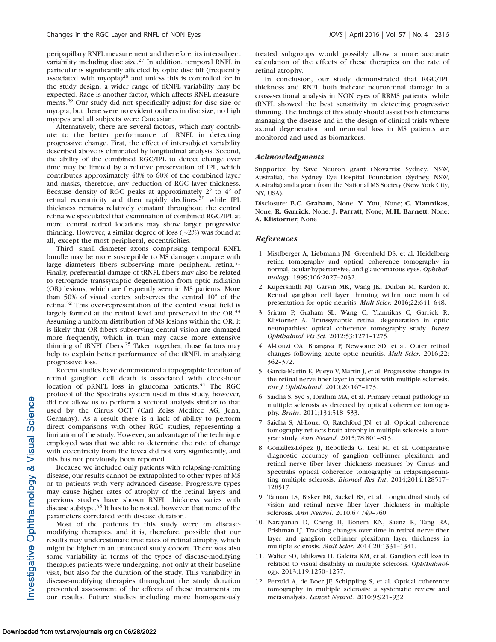peripapillary RNFL measurement and therefore, its intersubject variability including disc size. $27$  In addition, temporal RNFL in particular is significantly affected by optic disc tilt (frequently associated with myopia)<sup>28</sup> and unless this is controlled for in the study design, a wider range of tRNFL variability may be expected. Race is another factor, which affects RNFL measurements.<sup>29</sup> Our study did not specifically adjust for disc size or myopia, but there were no evident outliers in disc size, no high myopes and all subjects were Caucasian.

Alternatively, there are several factors, which may contribute to the better performance of tRNFL in detecting progressive change. First, the effect of intersubject variability described above is eliminated by longitudinal analysis. Second, the ability of the combined RGC/IPL to detect change over time may be limited by a relative preservation of IPL, which contributes approximately 40% to 60% of the combined layer and masks, therefore, any reduction of RGC layer thickness. Because density of RGC peaks at approximately  $2^{\circ}$  to  $4^{\circ}$  of retinal eccentricity and then rapidly declines,<sup>30</sup> while IPL thickness remains relatively constant throughout the central retina we speculated that examination of combined RGC/IPL at more central retinal locations may show larger progressive thinning. However, a similar degree of loss  $(\sim 2\%)$  was found at all, except the most peripheral, eccentricities.

Third, small diameter axons comprising temporal RNFL bundle may be more susceptible to MS damage compare with large diameters fibers subserving more peripheral retina.<sup>31</sup> Finally, preferential damage of tRNFL fibers may also be related to retrograde transsynaptic degeneration from optic radiation (OR) lesions, which are frequently seen in MS patients. More than 50% of visual cortex subserves the central  $10^{\circ}$  of the retina.<sup>32</sup> This over-representation of the central visual field is largely formed at the retinal level and preserved in the OR.<sup>33</sup> Assuming a uniform distribution of MS lesions within the OR, it is likely that OR fibers subserving central vision are damaged more frequently, which in turn may cause more extensive thinning of tRNFL fibers.<sup>25</sup> Taken together, those factors may help to explain better performance of the tRNFL in analyzing progressive loss.

Recent studies have demonstrated a topographic location of retinal ganglion cell death is associated with clock-hour location of pRNFL loss in glaucoma patients.<sup>34</sup> The RGC protocol of the Spectralis system used in this study, however, did not allow us to perform a sectoral analysis similar to that used by the Cirrus OCT (Carl Zeiss Meditec AG, Jena, Germany). As a result there is a lack of ability to perform direct comparisons with other RGC studies, representing a limitation of the study. However, an advantage of the technique employed was that we able to determine the rate of change with eccentricity from the fovea did not vary significantly, and this has not previously been reported.

Because we included only patients with relapsing-remitting disease, our results cannot be extrapolated to other types of MS or to patients with very advanced disease. Progressive types may cause higher rates of atrophy of the retinal layers and previous studies have shown RNFL thickness varies with disease subtype.<sup>35</sup> It has to be noted, however, that none of the parameters correlated with disease duration.

Most of the patients in this study were on diseasemodifying therapies, and it is, therefore, possible that our results may underestimate true rates of retinal atrophy, which might be higher in an untreated study cohort. There was also some variability in terms of the types of disease-modifying therapies patients were undergoing, not only at their baseline visit, but also for the duration of the study. This variability in disease-modifying therapies throughout the study duration prevented assessment of the effects of these treatments on our results. Future studies including more homogenously

treated subgroups would possibly allow a more accurate calculation of the effects of these therapies on the rate of retinal atrophy.

In conclusion, our study demonstrated that RGC/IPL thickness and RNFL both indicate neuroretinal damage in a cross-sectional analysis in NON eyes of RRMS patients, while tRNFL showed the best sensitivity in detecting progressive thinning. The findings of this study should assist both clinicians managing the disease and in the design of clinical trials where axonal degeneration and neuronal loss in MS patients are monitored and used as biomarkers.

## Acknowledgments

Supported by Save Neuron grant (Novartis; Sydney, NSW, Australia), the Sydney Eye Hospital Foundation (Sydney, NSW, Australia) and a grant from the National MS Society (New York City, NY, USA).

Disclosure: E.C. Graham, None; Y. You, None; C. Yiannikas, None; R. Garrick, None; J. Parratt, None; M.H. Barnett, None; A. Klistorner, None

## References

- 1. Mistlberger A, Liebmann JM, Greenfield DS, et al. Heidelberg retina tomography and optical coherence tomography in normal, ocular-hypertensive, and glaucomatous eyes. Ophthalmology. 1999;106:2027–2032.
- 2. Kupersmith MJ, Garvin MK, Wang JK, Durbin M, Kardon R. Retinal ganglion cell layer thinning within one month of presentation for optic neuritis. Mult Scler. 2016;22:641–648.
- 3. Sriram P, Graham SL, Wang C, Yiannikas C, Garrick R, Klistorner A. Transsynaptic retinal degeneration in optic neuropathies: optical coherence tomography study. Invest Ophthalmol Vis Sci. 2012;53:1271–1275.
- 4. Al-Louzi OA, Bhargava P, Newsome SD, et al. Outer retinal changes following acute optic neuritis. Mult Scler. 2016;22: 362–372.
- 5. Garcia-Martin E, Pueyo V, Martin J, et al. Progressive changes in the retinal nerve fiber layer in patients with multiple sclerosis. Eur J Ophthalmol. 2010;20:167–173.
- 6. Saidha S, Syc S, Ibrahim MA, et al. Primary retinal pathology in multiple sclerosis as detected by optical coherence tomography. Brain. 2011;134:518–533.
- 7. Saidha S, Al-Louzi O, Ratchford JN, et al. Optical coherence tomography reflects brain atrophy in multiple sclerosis: a fouryear study. Ann Neurol. 2015;78:801–813.
- 8. González-López JJ, Rebolleda G, Leal M, et al. Comparative diagnostic accuracy of ganglion cell-inner plexiform and retinal nerve fiber layer thickness measures by Cirrus and Spectralis optical coherence tomography in relapsing-remitting multiple sclerosis. Biomed Res Int. 2014;2014:128517– 128517.
- 9. Talman LS, Bisker ER, Sackel BS, et al. Longitudinal study of vision and retinal nerve fiber layer thickness in multiple sclerosis. Ann Neurol. 2010;67:749–760.
- 10. Narayanan D, Cheng H, Bonem KN, Saenz R, Tang RA, Frishman LJ. Tracking changes over time in retinal nerve fiber layer and ganglion cell-inner plexiform layer thickness in multiple sclerosis. Mult Scler. 2014;20:1331–1341.
- 11. Walter SD, Ishikawa H, Galetta KM, et al. Ganglion cell loss in relation to visual disability in multiple sclerosis. Ophthalmology. 2013;119:1250–1257.
- 12. Petzold A, de Boer JF, Schippling S, et al. Optical coherence tomography in multiple sclerosis: a systematic review and meta-analysis. Lancet Neurol. 2010;9:921–932.